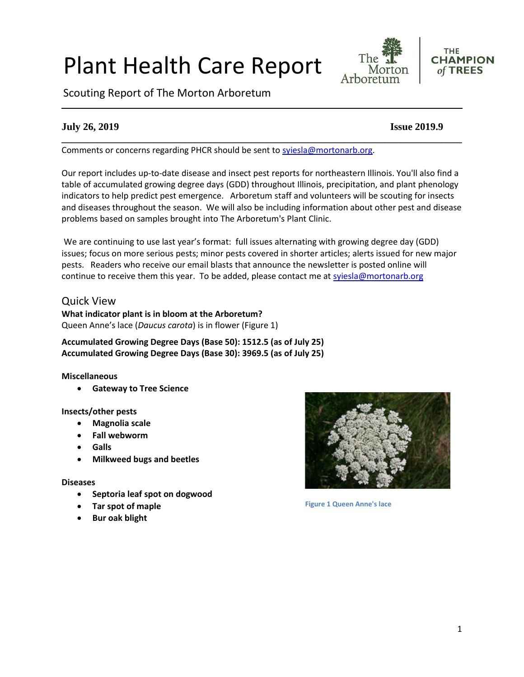#### 1

# Plant Health Care Report

Scouting Report of The Morton Arboretum

Comments or concerns regarding PHCR should be sent to [syiesla@mortonarb.org.](mailto:syiesla@mortonarb.org)

Our report includes up-to-date disease and insect pest reports for northeastern Illinois. You'll also find a table of accumulated growing degree days (GDD) throughout Illinois, precipitation, and plant phenology indicators to help predict pest emergence. Arboretum staff and volunteers will be scouting for insects and diseases throughout the season. We will also be including information about other pest and disease problems based on samples brought into The Arboretum's Plant Clinic.

**\_\_\_\_\_\_\_\_\_\_\_\_\_\_\_\_\_\_\_\_\_\_\_\_\_\_\_\_\_\_\_\_\_\_\_\_\_\_\_\_\_\_\_\_\_\_\_\_\_\_\_\_\_\_\_\_\_\_\_\_\_\_\_\_\_\_\_\_\_\_\_\_\_\_\_\_\_\_**

We are continuing to use last year's format: full issues alternating with growing degree day (GDD) issues; focus on more serious pests; minor pests covered in shorter articles; alerts issued for new major pests. Readers who receive our email blasts that announce the newsletter is posted online will continue to receive them this year. To be added, please contact me at [syiesla@mortonarb.org](mailto:syiesla@mortonarb.org)

# Quick View

**What indicator plant is in bloom at the Arboretum?** Queen Anne's lace (*Daucus carota*) is in flower (Figure 1)

**Accumulated Growing Degree Days (Base 50): 1512.5 (as of July 25) Accumulated Growing Degree Days (Base 30): 3969.5 (as of July 25)**

#### **Miscellaneous**

• **Gateway to Tree Science**

**Insects/other pests**

- **Magnolia scale**
- **Fall webworm**
- **Galls**
- **Milkweed bugs and beetles**

#### **Diseases**

- **Septoria leaf spot on dogwood**
- **Tar spot of maple**
- **Bur oak blight**



**Figure 1 Queen Anne's lace**



**THE** 

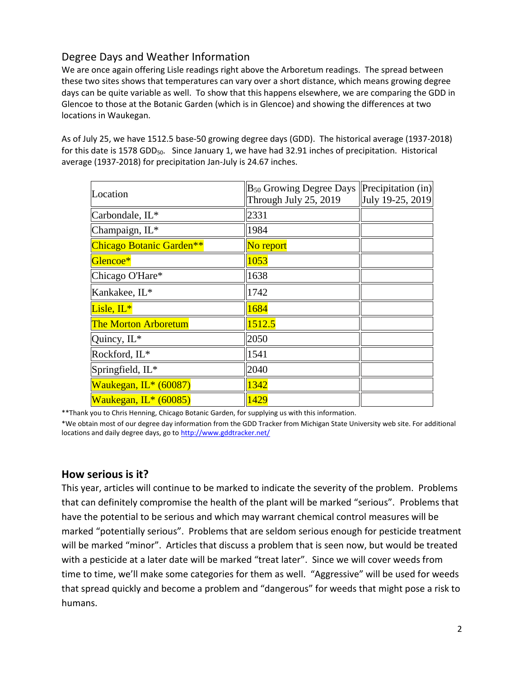# Degree Days and Weather Information

We are once again offering Lisle readings right above the Arboretum readings. The spread between these two sites shows that temperatures can vary over a short distance, which means growing degree days can be quite variable as well. To show that this happens elsewhere, we are comparing the GDD in Glencoe to those at the Botanic Garden (which is in Glencoe) and showing the differences at two locations in Waukegan.

As of July 25, we have 1512.5 base-50 growing degree days (GDD). The historical average (1937-2018) for this date is 1578 GDD<sub>50</sub>. Since January 1, we have had 32.91 inches of precipitation. Historical average (1937-2018) for precipitation Jan-July is 24.67 inches.

| Location                    | $B_{50}$ Growing Degree Days<br>Through July 25, 2019 | $\left  \text{Precipitation (in)} \right $<br>July 19-25, 2019 |
|-----------------------------|-------------------------------------------------------|----------------------------------------------------------------|
| Carbondale, IL*             | 2331                                                  |                                                                |
| Champaign, IL*              | 1984                                                  |                                                                |
| Chicago Botanic Garden**    | No report                                             |                                                                |
| Glencoe*                    | 1053                                                  |                                                                |
| Chicago O'Hare*             | 1638                                                  |                                                                |
| Kankakee, IL*               | 1742                                                  |                                                                |
| Lisle, $IL^*$               | 1684                                                  |                                                                |
| <b>The Morton Arboretum</b> | 1512.5                                                |                                                                |
| Quincy, IL*                 | 2050                                                  |                                                                |
| Rockford, IL*               | 1541                                                  |                                                                |
| Springfield, IL*            | 2040                                                  |                                                                |
| Waukegan, IL* (60087)       | 1342                                                  |                                                                |
| Waukegan, IL* (60085)       | 1429                                                  |                                                                |

\*\*Thank you to Chris Henning, Chicago Botanic Garden, for supplying us with this information.

\*We obtain most of our degree day information from the GDD Tracker from Michigan State University web site. For additional locations and daily degree days, go t[o http://www.gddtracker.net/](http://www.gddtracker.net/)

# **How serious is it?**

This year, articles will continue to be marked to indicate the severity of the problem. Problems that can definitely compromise the health of the plant will be marked "serious".Problems that have the potential to be serious and which may warrant chemical control measures will be marked "potentially serious". Problems that are seldom serious enough for pesticide treatment will be marked "minor". Articles that discuss a problem that is seen now, but would be treated with a pesticide at a later date will be marked "treat later". Since we will cover weeds from time to time, we'll make some categories for them as well. "Aggressive" will be used for weeds that spread quickly and become a problem and "dangerous" for weeds that might pose a risk to humans.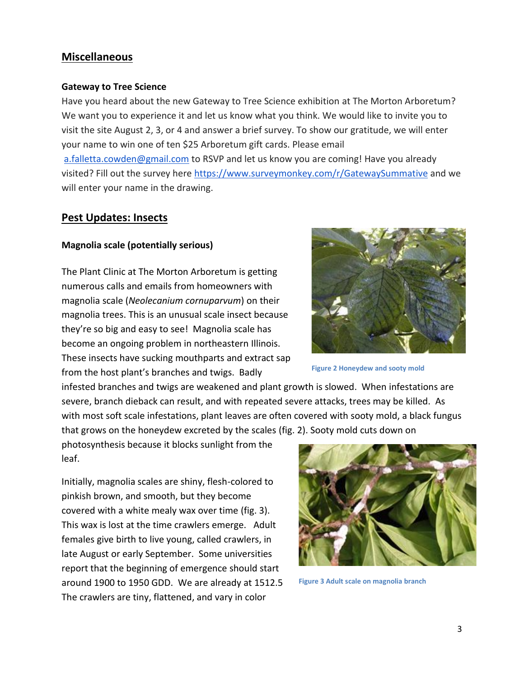# **Miscellaneous**

#### **Gateway to Tree Science**

Have you heard about the new Gateway to Tree Science exhibition at The Morton Arboretum? We want you to experience it and let us know what you think. We would like to invite you to visit the site August 2, 3, or 4 and answer a brief survey. To show our gratitude, we will enter your name to win one of ten \$25 Arboretum gift cards. Please email [a.falletta.cowden@gmail.com](mailto:a.falletta.cowden@gmail.com) to RSVP and let us know you are coming! Have you already visited? Fill out the survey here <https://www.surveymonkey.com/r/GatewaySummative> and we will enter your name in the drawing.

# **Pest Updates: Insects**

# **Magnolia scale (potentially serious)**

The Plant Clinic at The Morton Arboretum is getting numerous calls and emails from homeowners with magnolia scale (*Neolecanium cornuparvum*) on their magnolia trees. This is an unusual scale insect because they're so big and easy to see! Magnolia scale has become an ongoing problem in northeastern Illinois. These insects have sucking mouthparts and extract sap from the host plant's branches and twigs. Badly

infested branches and twigs are weakened and plant growth is slowed. When infestations are severe, branch dieback can result, and with repeated severe attacks, trees may be killed. As with most soft scale infestations, plant leaves are often covered with sooty mold, a black fungus that grows on the honeydew excreted by the scales (fig. 2). Sooty mold cuts down on

photosynthesis because it blocks sunlight from the leaf.

Initially, magnolia scales are shiny, flesh-colored to pinkish brown, and smooth, but they become covered with a white mealy wax over time (fig. 3). This wax is lost at the time crawlers emerge. Adult females give birth to live young, called crawlers, in late August or early September. Some universities report that the beginning of emergence should start around 1900 to 1950 GDD. We are already at 1512.5 The crawlers are tiny, flattened, and vary in color



**Figure 3 Adult scale on magnolia branch**

**Figure 2 Honeydew and sooty mold**

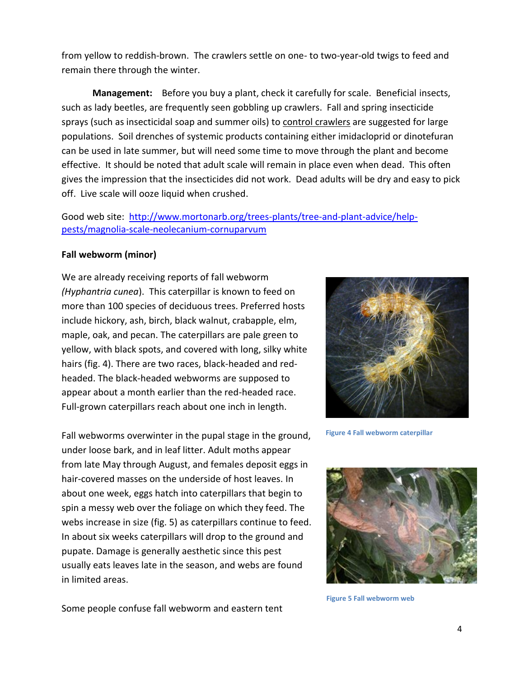from yellow to reddish-brown. The crawlers settle on one- to two-year-old twigs to feed and remain there through the winter.

**Management:** Before you buy a plant, check it carefully for scale. Beneficial insects, such as lady beetles, are frequently seen gobbling up crawlers. Fall and spring insecticide sprays (such as insecticidal soap and summer oils) to control crawlers are suggested for large populations. Soil drenches of systemic products containing either imidacloprid or dinotefuran can be used in late summer, but will need some time to move through the plant and become effective. It should be noted that adult scale will remain in place even when dead. This often gives the impression that the insecticides did not work. Dead adults will be dry and easy to pick off. Live scale will ooze liquid when crushed.

Good web site: [http://www.mortonarb.org/trees-plants/tree-and-plant-advice/help](http://www.mortonarb.org/trees-plants/tree-and-plant-advice/help-pests/magnolia-scale-neolecanium-cornuparvum)[pests/magnolia-scale-neolecanium-cornuparvum](http://www.mortonarb.org/trees-plants/tree-and-plant-advice/help-pests/magnolia-scale-neolecanium-cornuparvum)

# **Fall webworm (minor)**

We are already receiving reports of fall webworm *(Hyphantria cunea*). This caterpillar is known to feed on more than 100 species of deciduous trees. Preferred hosts include hickory, ash, birch, black walnut, crabapple, elm, maple, oak, and pecan. The caterpillars are pale green to yellow, with black spots, and covered with long, silky white hairs (fig. 4). There are two races, black-headed and redheaded. The black-headed webworms are supposed to appear about a month earlier than the red-headed race. Full-grown caterpillars reach about one inch in length.

Fall webworms overwinter in the pupal stage in the ground, under loose bark, and in leaf litter. Adult moths appear from late May through August, and females deposit eggs in hair-covered masses on the underside of host leaves. In about one week, eggs hatch into caterpillars that begin to spin a messy web over the foliage on which they feed. The webs increase in size (fig. 5) as caterpillars continue to feed. In about six weeks caterpillars will drop to the ground and pupate. Damage is generally aesthetic since this pest usually eats leaves late in the season, and webs are found in limited areas.



**Figure 4 Fall webworm caterpillar**



**Figure 5 Fall webworm web**

Some people confuse fall webworm and eastern tent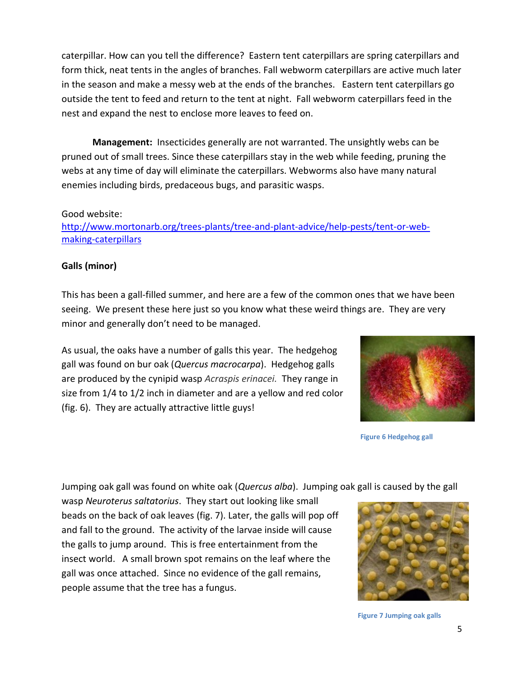caterpillar. How can you tell the difference? Eastern tent caterpillars are spring caterpillars and form thick, neat tents in the angles of branches. Fall webworm caterpillars are active much later in the season and make a messy web at the ends of the branches. Eastern tent caterpillars go outside the tent to feed and return to the tent at night. Fall webworm caterpillars feed in the nest and expand the nest to enclose more leaves to feed on.

**Management:** Insecticides generally are not warranted. The unsightly webs can be pruned out of small trees. Since these caterpillars stay in the web while feeding, pruning the webs at any time of day will eliminate the caterpillars. Webworms also have many natural enemies including birds, predaceous bugs, and parasitic wasps.

#### Good website:

[http://www.mortonarb.org/trees-plants/tree-and-plant-advice/help-pests/tent-or-web](http://www.mortonarb.org/trees-plants/tree-and-plant-advice/help-pests/tent-or-web-making-caterpillars)[making-caterpillars](http://www.mortonarb.org/trees-plants/tree-and-plant-advice/help-pests/tent-or-web-making-caterpillars)

#### **Galls (minor)**

This has been a gall-filled summer, and here are a few of the common ones that we have been seeing. We present these here just so you know what these weird things are. They are very minor and generally don't need to be managed.

As usual, the oaks have a number of galls this year. The hedgehog gall was found on bur oak (*Quercus macrocarpa*). Hedgehog galls are produced by the cynipid wasp *Acraspis erinacei.* They range in size from 1/4 to 1/2 inch in diameter and are a yellow and red color (fig. 6). They are actually attractive little guys!



**Figure 6 Hedgehog gall**

Jumping oak gall was found on white oak (*Quercus alba*). Jumping oak gall is caused by the gall

wasp *Neuroterus saltatorius*. They start out looking like small beads on the back of oak leaves (fig. 7). Later, the galls will pop off and fall to the ground. The activity of the larvae inside will cause the galls to jump around. This is free entertainment from the insect world. A small brown spot remains on the leaf where the gall was once attached. Since no evidence of the gall remains, people assume that the tree has a fungus.



**Figure 7 Jumping oak galls**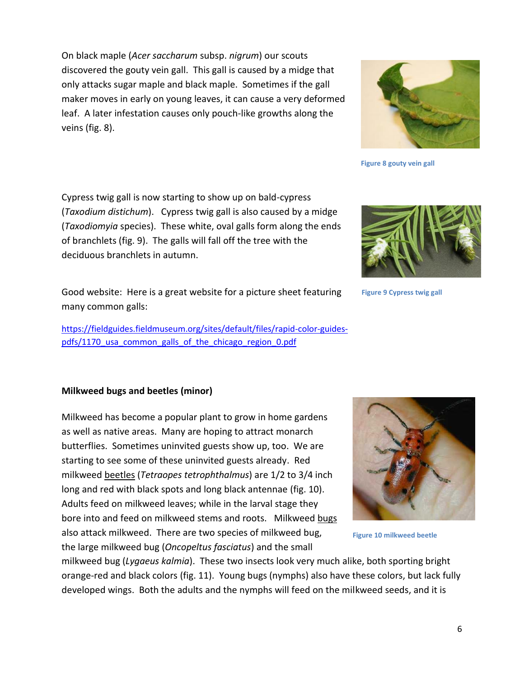On black maple (*Acer saccharum* subsp. *nigrum*) our scouts discovered the gouty vein gall. This gall is caused by a midge that only attacks sugar maple and black maple. Sometimes if the gall maker moves in early on young leaves, it can cause a very deformed leaf. A later infestation causes only pouch-like growths along the veins (fig. 8).

Cypress twig gall is now starting to show up on bald-cypress (*Taxodium distichum*). Cypress twig gall is also caused by a midge (*Taxodiomyia* species). These white, oval galls form along the ends of branchlets (fig. 9). The galls will fall off the tree with the deciduous branchlets in autumn.

Good website: Here is a great website for a picture sheet featuring many common galls:

[https://fieldguides.fieldmuseum.org/sites/default/files/rapid-color-guides](https://fieldguides.fieldmuseum.org/sites/default/files/rapid-color-guides-pdfs/1170_usa_common_galls_of_the_chicago_region_0.pdf)pdfs/1170 usa common galls of the chicago region 0.pdf

#### **Milkweed bugs and beetles (minor)**

Milkweed has become a popular plant to grow in home gardens as well as native areas. Many are hoping to attract monarch butterflies. Sometimes uninvited guests show up, too. We are starting to see some of these uninvited guests already. Red milkweed beetles (*Tetraopes tetrophthalmus*) are 1/2 to 3/4 inch long and red with black spots and long black antennae (fig. 10). Adults feed on milkweed leaves; while in the larval stage they bore into and feed on milkweed stems and roots. Milkweed bugs also attack milkweed. There are two species of milkweed bug, the large milkweed bug (*Oncopeltus fasciatus*) and the small

milkweed bug (*Lygaeus kalmia*). These two insects look very much alike, both sporting bright orange-red and black colors (fig. 11). Young bugs (nymphs) also have these colors, but lack fully developed wings. Both the adults and the nymphs will feed on the milkweed seeds, and it is



**Figure 10 milkweed beetle**



**Figure 9 Cypress twig gall**

**Figure 8 gouty vein gall**



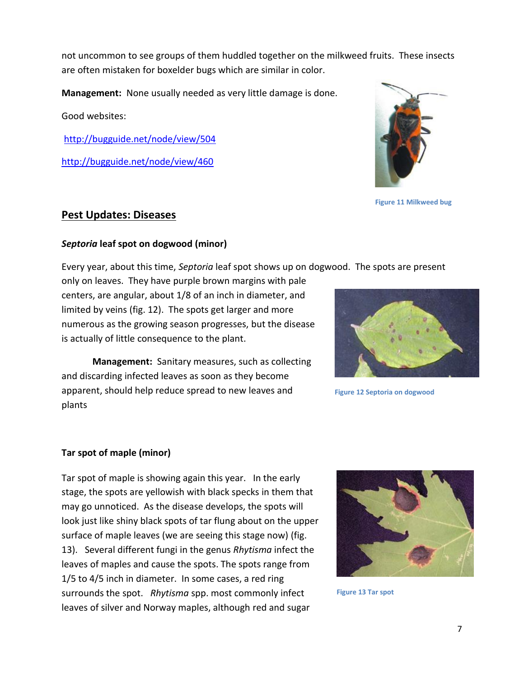not uncommon to see groups of them huddled together on the milkweed fruits. These insects are often mistaken for boxelder bugs which are similar in color.

**Management:** None usually needed as very little damage is done.

Good websites:

<http://bugguide.net/node/view/504>

<http://bugguide.net/node/view/460>



**Figure 11 Milkweed bug**

# **Pest Updates: Diseases**

# *Septoria* **leaf spot on dogwood (minor)**

Every year, about this time, *Septoria* leaf spot shows up on dogwood. The spots are present

only on leaves. They have purple brown margins with pale centers, are angular, about 1/8 of an inch in diameter, and limited by veins (fig. 12). The spots get larger and more numerous as the growing season progresses, but the disease is actually of little consequence to the plant.

**Management:** Sanitary measures, such as collecting and discarding infected leaves as soon as they become apparent, should help reduce spread to new leaves and plants



**Figure 12 Septoria on dogwood**

# **Tar spot of maple (minor)**

Tar spot of maple is showing again this year. In the early stage, the spots are yellowish with black specks in them that may go unnoticed. As the disease develops, the spots will look just like shiny black spots of tar flung about on the upper surface of maple leaves (we are seeing this stage now) (fig. 13). Several different fungi in the genus *Rhytisma* infect the leaves of maples and cause the spots. The spots range from 1/5 to 4/5 inch in diameter. In some cases, a red ring surrounds the spot. *Rhytisma* spp. most commonly infect leaves of silver and Norway maples, although red and sugar



**Figure 13 Tar spot**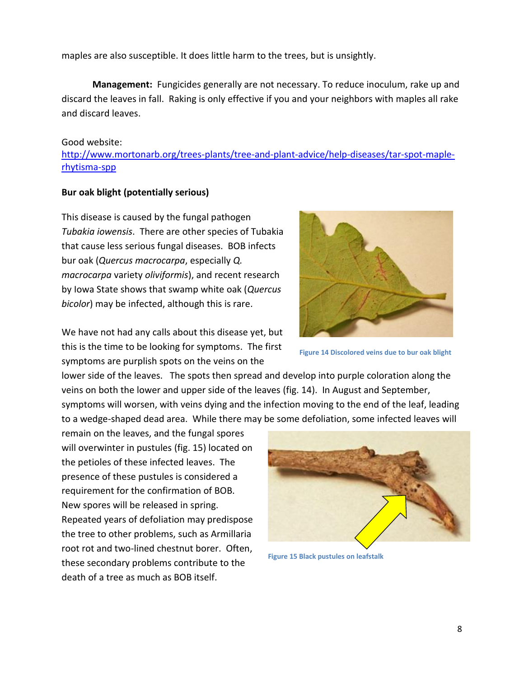maples are also susceptible. It does little harm to the trees, but is unsightly.

**Management:** Fungicides generally are not necessary. To reduce inoculum, rake up and discard the leaves in fall. Raking is only effective if you and your neighbors with maples all rake and discard leaves.

#### Good website:

[http://www.mortonarb.org/trees-plants/tree-and-plant-advice/help-diseases/tar-spot-maple](http://www.mortonarb.org/trees-plants/tree-and-plant-advice/help-diseases/tar-spot-maple-rhytisma-spp)[rhytisma-spp](http://www.mortonarb.org/trees-plants/tree-and-plant-advice/help-diseases/tar-spot-maple-rhytisma-spp)

#### **Bur oak blight (potentially serious)**

This disease is caused by the fungal pathogen *Tubakia iowensis*. There are other species of Tubakia that cause less serious fungal diseases. BOB infects bur oak (*Quercus macrocarpa*, especially *Q. macrocarpa* variety *oliviformis*), and recent research by Iowa State shows that swamp white oak (*Quercus bicolor*) may be infected, although this is rare.

We have not had any calls about this disease yet, but this is the time to be looking for symptoms. The first symptoms are purplish spots on the veins on the

**Figure 14 Discolored veins due to bur oak blight**

lower side of the leaves. The spots then spread and develop into purple coloration along the veins on both the lower and upper side of the leaves (fig. 14). In August and September, symptoms will worsen, with veins dying and the infection moving to the end of the leaf, leading to a wedge-shaped dead area. While there may be some defoliation, some infected leaves will

remain on the leaves, and the fungal spores will overwinter in pustules (fig. 15) located on the petioles of these infected leaves. The presence of these pustules is considered a requirement for the confirmation of BOB. New spores will be released in spring. Repeated years of defoliation may predispose the tree to other problems, such as Armillaria root rot and two-lined chestnut borer. Often, these secondary problems contribute to the death of a tree as much as BOB itself.



**Figure 15 Black pustules on leafstalk**